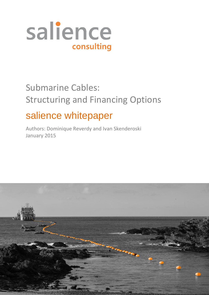

# Submarine Cables: Structuring and Financing Options

## salience whitepaper

Authors: Dominique Reverdy and Ivan Skenderoski January 2015

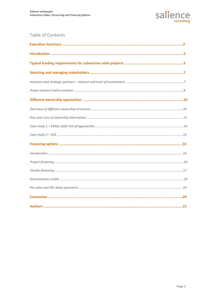

### Table of Contents

| $Introduction \hspace{1.5cm} 16$ |  |
|----------------------------------|--|
|                                  |  |
|                                  |  |
|                                  |  |
|                                  |  |
|                                  |  |
|                                  |  |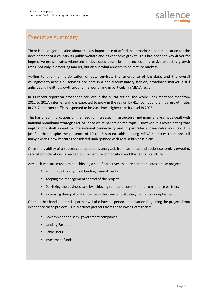### Executive summary

There is no longer question about the key importance of affordable broadband communication for the development of a country its public welfare and its economic growth. This has been the key driver for impressive growth rates witnessed in developed countries, and no less impressive expected growth rates, not only in emerging market, but also in what appears to be mature markets.

Adding to this the multiplication of data services, the emergence of big data, and the overall willingness to access all services and data in a non-discriminatory fashion, broadband market is still anticipating healthy growth around the world, and in particular in MENA region.

In its recent report on broadband services in the MENA region, the World Bank mentions that from 2012 to 2017, internet traffic is expected to grow in the region by 41% compound annual growth rate. In 2017, internet traffic is expected to be 204 times higher than its level in 2006.

This has direct implications on the need for increased infrastructure, and many analysis have dealt with national broadband strategies (cf. Salience white papers on the topic). However, it is worth noting that implications shall spread to international connectivity and in particular subsea cable industry. This justifies that despite the presence of 10 to 15 subsea cables linking MENA countries there are still many existing new ventures considered underpinned with robust business plans.

Once the viability of a subsea cable project is analysed, from technical and socio-economic viewpoint, careful considerations is needed on the venture composition and the capital structure.

Any such venture must aim at achieving a set of objectives that are common across these projects:

- **Minimising their upfront funding commitments**
- Keeping the management control of the project
- De-risking the business case by achieving some pre-commitment from landing partners
- Increasing their political influence in the view of facilitating the network deployment

On the other hand a potential partner will also have its personal motivation for joining the project. From experience these projects usually attract partners from the following categories:

- Government and semi-government companies
- **Landing Partners**
- Cable users
- **Investment funds**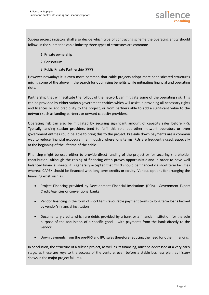Subsea project initiators shall also decide which type of contracting scheme the operating entity should follow. In the submarine cable industry three types of structures are common:

- 1. Private ownership
- 2. Consortium
- 3. Public Private Partnership (PPP)

However nowadays it is even more common that cable projects adopt more sophisticated structures mixing some of the above in the search for optimising benefits while mitigating financial and operating risks.

Partnership that will facilitate the rollout of the network can mitigate some of the operating risk. This can be provided by either various government entities which will assist in providing all necessary rights and licences or add credibility to the project, or from partners able to add a significant value to the network such as landing partners or onward capacity providers.

Operating risk can also be mitigated by securing significant amount of capacity sales before RFS. Typically landing station providers tend to fulfil this role but other network operators or even government entities could be able to bring this to the project. Pre-sale down payments are a common way to reduce financial exposure in an industry where long terms IRUs are frequently used, especially at the beginning of the lifetime of the cable.

Financing might be used either to provide direct funding of the project or for securing shareholder contribution. Although the raising of financing often proves opportunistic and in order to have well balanced financial sheets, it is generally accepted that OPEX should be financed via short term facilities whereas CAPEX should be financed with long term credits or equity. Various options for arranging the financing exist such as:

- Project Financing provided by Development Financial Institutions (DFIs), Government Export Credit Agencies or conventional banks
- Vendor financing in the form of short term favourable payment terms to long term loans backed by vendor's financial institution
- Documentary credits which are debts provided by a bank or a financial institution for the sole purpose of the acquisition of a specific good – with payments from the bank directly to the vendor
- Down payments from the pre-RFS and IRU sales therefore reducing the need for other financing

In conclusion, the structure of a subsea project, as well as its financing, must be addressed at a very early stage, as these are keys to the success of the venture, even before a stable business plan, as history shows in the major project failures.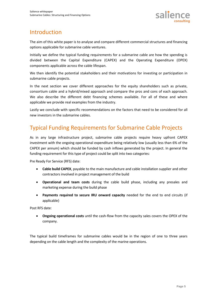### Introduction

The aim of this white paper is to analyse and compare different commercial structures and financing options applicable for submarine cable ventures.

Initially we define the typical funding requirements for a submarine cable are how the spending is divided between the Capital Expenditure (CAPEX) and the Operating Expenditure (OPEX) components applicable across the cable lifespan.

We then identify the potential stakeholders and their motivations for investing or participation in submarine cable projects.

In the next section we cover different approaches for the equity shareholders such as private, consortium cable and a hybrid/mixed approach and compare the pros and cons of each approach. We also describe the different debt financing schemes available. For all of these and where applicable we provide real examples from the industry.

Lastly we conclude with specific recommendations on the factors that need to be considered for all new investors in the submarine cables.

### Typical Funding Requirements for Submarine Cable Projects

As in any large infrastructure project, submarine cable projects require heavy upfront CAPEX investment with the ongoing operational expenditure being relatively low (usually less than 6% of the CAPEX per annum) which should be funded by cash inflows generated by the project. In general the funding requirement for this type of project could be split into two categories:

Pre Ready For Service (RFS) date:

- **Cable build CAPEX**, payable to the main manufacture and cable installation supplier and other contractors involved in project management of the build
- **Operational and team costs** during the cable build phase, including any presales and marketing expense during the build phase
- **Payments required to secure IRU onward capacity** needed for the end to end circuits (if applicable)

Post RFS date:

 **Ongoing operational costs** until the cash-flow from the capacity sales covers the OPEX of the company.

The typical build timeframes for submarine cables would be in the region of one to three years depending on the cable length and the complexity of the marine operations.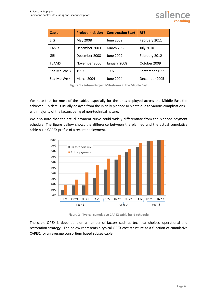

**Figure 1 - Subsea Project Milestones in the Middle East**

We note that for most of the cables especially for the ones deployed across the Middle East the achieved RFS date is usually delayed from the initially planned RFS date due to various complications – with majority of the factors being of non-technical nature.

We also note that the actual payment curve could widely differentiate from the planned payment schedule. The figure bellow shows the difference between the planned and the actual cumulative cable build CAPEX profile of a recent deployment.



**Figure 2 - Typical cumulative CAPEX cable build schedule**

The cable OPEX is dependent on a number of factors such as technical choices, operational and restoration strategy. The below represents a typical OPEX cost structure as a function of cumulative CAPEX, for an average consortium based subsea cable.

salience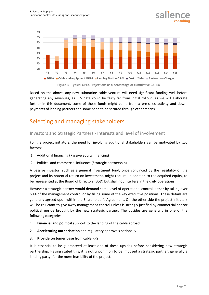

salier

Based on the above, any new submarine cable venture will need significant funding well before generating any revenues, as RFS date could be fairly far from initial rollout. As we will elaborate further in this document, some of these funds might come from a pre-sales activity and downpayments of landing partners and some need to be secured through other means.

### Selecting and managing stakeholders

#### Investors and Strategic Partners - Interests and level of involvement

For the project initiators, the need for involving additional stakeholders can be motivated by two factors:

- 1. Additional financing (Passive equity financing)
- 2. Political and commercial influence (Strategic partnership)

A passive investor, such as a general investment fund, once convinced by the feasibility of the project and its potential return on investment, might require, in addition to the acquired equity, to be represented at the Board of Directors (BoD) but shall not interfere in the daily operations.

However a strategic partner would demand some level of operational control, either by taking over 50% of the management control or by filling some of the key executive positions. These details are generally agreed upon within the Shareholder's Agreement. On the other side the project initiators will be reluctant to give away management control unless is strongly justified by commercial and/or political upside brought by the new strategic partner. The upsides are generally in one of the following categories:

- 1. **Financial and political support** to the landing of the cable abroad
- 2. **Accelerating authorisation** and regulatory approvals nationally
- 3. **Provide customer base** from cable RFS

It is essential to be guaranteed at least one of these upsides before considering new strategic partnership. Having stated this, it is not uncommon to be imposed a strategic partner, generally a landing party, for the mere feasibility of the project.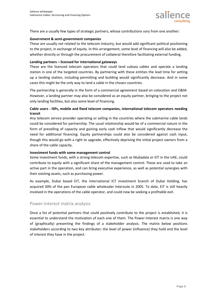

There are a usually few types of strategic partners, whose contributions vary from one another:

#### **Government & semi-government companies**

These are usually not related to the telecom industry, but would add significant political positioning to the project, in exchange of equity. In this arrangement, some level of financing will also be added, whether directly or through the procurement of collateral therefore facilitating external funding.

#### **Landing partners – licensed for international gateways**

These are the licenced telecom operators that could land subsea cables and operate a landing station in one of the targeted countries. By partnering with these entities the lead time for setting up a landing station, including permitting and building would significantly decrease. And in some cases this might be the only way to land a cable in the chosen countries.

The partnership is generally in the form of a commercial agreement based on colocation and O&M. However, a landing partner may also be considered as an equity partner, bringing to the project not only landing facilities, but also some level of financing.

#### **Cable users - ISPs, mobile and fixed telecom companies, international telecom operators needing transit**

Any telecom service provider operating or selling in the countries where the submarine cable lands could be considered for partnership. The usual relationship would be of a commercial nature in the form of preselling of capacity and gaining early cash inflow that would significantly decrease the need for additional financing. Equity partnerships could also be considered against cash input, though this would go with a right to upgrade, effectively depriving the initial project owners from a share of the cable capacity.

#### **Investment funds with some management control**

Some investment funds, with a strong telecom expertise, such as Mubadala or EIT in the UAE, could contribute to equity with a significant share of the management control. These are used to take an active part in the operation, and can bring executive experience, as well as potential synergies with their existing assets, such as purchasing power.

As example, Dubai based EIT, the international ICT investment branch of Dubai Holding, has acquired 30% of the pan European cable wholesaler Interoute in 2005. To date, EIT is still heavily involved in the operations of the cable operator, and could now be seeking a profitable exit.

#### Power-interest matrix analysis

Once a list of potential partners that could positively contribute to the project is established, it is essential to understand the motivation of each one of them. The Power-Interest matrix is one way of (graphically) presenting the findings of a stakeholder analysis. The matrix below positions stakeholders according to two key attributes: the level of power (influence) they hold and the level of interest they have in the project.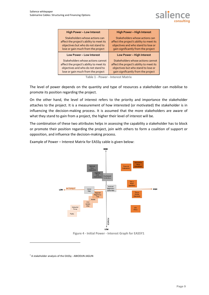| <b>High Power - Low Interest</b>         | <b>High Power - High Interest</b>        |  |  |
|------------------------------------------|------------------------------------------|--|--|
| Stakeholders whose actions can           | Stakeholders whose actions can           |  |  |
| affect the project's ability to meet its | affect the project's ability to meet its |  |  |
| objectives but who do not stand to       | objectives and who stand to lose or      |  |  |
| lose or gain much from the project       | gain significantly from the project      |  |  |
| Low Power - Low Interest                 | Low Power - High Interest                |  |  |
| Stakeholders whose actions cannot        | Stakeholders whose actions cannot        |  |  |
| affect the project's ability to meet its | affect the project's ability to meet its |  |  |
| objectives and who do not stand to       | objectives but who stand to lose or      |  |  |
| lose or gain much from the project       | gain significantly from the project      |  |  |

**Table 1 - Power - Interest Matrix**

The level of power depends on the quantity and type of resources a stakeholder can mobilise to promote its position regarding the project.

On the other hand, the level of interest refers to the priority and importance the stakeholder attaches to the project. It is a measurement of how interested (or motivated) the stakeholder is in influencing the decision-making process. It is assumed that the more stakeholders are aware of what they stand to gain from a project, the higher their level of interest will be.

The combination of these two attributes helps in assessing the capability a stakeholder has to block or promote their position regarding the project, join with others to form a coalition of support or opposition, and influence the decision-making process.

Example of Power – Interest Matrix for EASSy cable is given below:



**Figure 4 - Initial Power - Interest Graph for EASSY1**

l

 $<sup>1</sup>$  A stakeholder analysis of the EASSy - ABIODUN JAGUN</sup>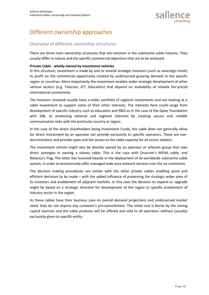### Different ownership approaches

#### Overview of different ownership structures

There are three main ownership structures that are common in the submarine cable industry. They usually differ in nature and the specific commercial objectives that are to be achieved.

#### **Private Cable - wholly owned by investment vehicles**

In this structure, investment is made by one or several strategic investors (such as sovereign funds) to profit on the commercial opportunity created by underserved growing demand in the specific region or countries. More importantly the investment enables wider strategic development of other vertical sectors (e.g. Telecom, ICT, Education) that depend on availability of reliable fair-priced international connectivity.

The investors involved usually have a wider portfolio of regional investments and are looking at a cable investment to support some of their other interests. The interests here could range from development of specific industry such as education and R&D as in the case of the Qatar Foundation with GBI, to protecting national and regional interests by creating secure and reliable communication links with the particular country or region.

In the case of the direct shareholders being Investment Funds, the cable does not generally allow for direct investment by an operator nor provide exclusivity to specific operators. These are nondiscriminatory and provide open and fair access to the cable capacity for all access seekers.

The investment vehicle might also be directly owned by an operator or telecom group that sees direct synergies in owning a subsea cable. This is the case with Orascom's MENA cable, and Reliance's Flag. The latter has invested heavily in the deployment of its worldwide submarine cable system, in order to economically offer managed wide area network services over the six continents.

The decision making procedures are similar with the other private cables enabling quick and efficient decisions to be made – with the added influence of preserving the strategic wider aims of its investors and enablement of adjacent markets. In this case the decision to expand or upgrade might be based on a strategic direction for development of the region or specific enablement of industry sector in the region.

As these cables base their business case on overall demand projections and underserved market need, they do not require any customer's pre-commitment. The initial cost is borne by the raising capital exercise and the cable products will be offered and sold to all operators without (usually) exclusivity given to specific entity.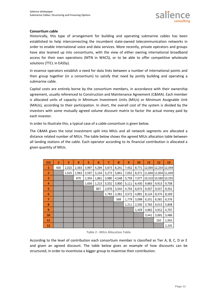

#### **Consortium cable**

Historically, this type of arrangement for building and operating submarine cables has been established to help interconnecting the incumbent state-owned telecommunication networks in order to enable international voice and data services. More recently, private operators and groups have also teamed up into consortiums, with the view of either owning international broadband access for their own operations (MTN in WACS), or to be able to offer competitive wholesale solutions (TTCL in EASSy).

In essence operators establish a need for data links between a number of international points and then group together (in a consortium) to satisfy that need by jointly building and operating a submarine cable.

Capital costs are entirely borne by the consortium members, in accordance with their ownership agreement, usually referenced to Construction and Maintenance Agreement (C&MA). Each member is allocated units of capacity in Minimum Investment Units (MIUs) or Minimum Assignable Unit (MAUs), according to their participation. In short, the overall cost of the system is divided by the investors with some mutually agreed volume discount matrix to factor the actual money paid by each investor.

In order to illustrate this, a typical case of a cable consortium is given below.

The C&MA gives the total investment split into MIUs and all network segments are allocated a distance related number of MIUs. The table below shows the agreed MIUs allocation table between all landing stations of the cable. Each operator according to its financial contribution is allocated a given quantity of MIUs.

| <b>CLS</b>     | $\overline{2}$ | 3     | 4     | 5     | 6     | 7     | 8     | 9     | 10    | 11    | 12                   | 13    |
|----------------|----------------|-------|-------|-------|-------|-------|-------|-------|-------|-------|----------------------|-------|
| 1              | 400            | 2,025 | 2,363 | 3,997 | 4,294 | 5,673 | 6,241 | 7,452 | 8,771 |       | 12,004 12,254 12,049 |       |
| $\overline{2}$ |                | 1,625 | 1,963 | 3,597 | 3,154 | 5,273 | 5,841 | 7,052 | 8,371 |       | 11,604 11,854 11,649 |       |
| 3              |                |       | 670   | 2,304 | 1,861 | 3,980 | 4,548 | 5,759 | 7,077 |       | 10,310 10,560 10,355 |       |
| 4              |                |       |       | 1,656 | 1,213 | 3,332 | 3,900 | 5,111 | 6,430 | 9,663 | 9,913                | 9,708 |
| 5              |                |       |       |       | 857   | 2,976 | 3,544 | 4,755 | 6,074 | 9,307 | 9,557                | 9,352 |
| 6              |                |       |       |       |       | 1,793 | 2,361 | 3,572 | 4,891 | 8,124 | 8,374                | 8,169 |
| 7              |                |       |       |       |       |       | 568   | 1,779 | 3,098 | 6,331 | 6,581                | 6,376 |
| 8              |                |       |       |       |       |       |       | 1,211 | 2,530 | 5,763 | 6,013                | 5,808 |
| 9              |                |       |       |       |       |       |       |       | 1,429 | 4,662 | 4,912                | 4,707 |
| 10             |                |       |       |       |       |       |       |       |       | 3,441 | 3,691                | 3,486 |
| 11             |                |       |       |       |       |       |       |       |       |       | 250                  | 1,955 |
| 12             |                |       |       |       |       |       |       |       |       |       |                      | 2,205 |

**Table 2 - MIUs Allocation Table**

According to the level of contribution each consortium member is classified as Tier A, B, C, D or E and given an agreed discount. The table below gives an example of how discounts can be structured, in order to incentivise a bigger group to maximise their contribution.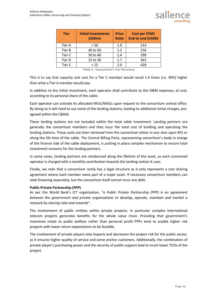

| <b>Tier</b> | <b>Initial Investments</b><br>(USDm) | <b>Price</b><br><b>Ratio</b> | <b>Cost per STM1</b><br><b>End-to-end (USDk)</b> |
|-------------|--------------------------------------|------------------------------|--------------------------------------------------|
| Tier A      | > 50                                 | 1.0                          | 214                                              |
| Tier B      | 40 to 50                             | 1.2                          | 256                                              |
| Tier C      | 30 to 40                             | 1.4                          | 299                                              |
| Tier D      | 15 to 30                             | 1.7                          | 363                                              |
| Tier E      | < 15                                 | 2.0                          | 428                                              |

**Table 3 - Consortium's Tier Structure**

This is to say that capacity unit cost for a Tier C member would result 1.4 times (i.e. 40%) higher than what a Tier A member would pay.

In addition to the initial investment, each operator shall contribute to the O&M expenses, at cost, according to its personal share of the cable.

Each operator can activate its allocated MIUs/MAUs upon request to the consortium central office. By doing so it will need to use some of the landing stations, leading to additional rental charges, preagreed within the C&MA.

These landing stations are not included within the total cable investment. Landing partners are generally the consortium members and they incur the total cost of building and operating the landing stations. These costs are then retrieved from the consortium either in one shot upon RFS or along the life time of the cable. The Central Billing Party, representing consortium's body in charge of the finance side of the cable deployment, is putting in place complex mechanism to ensure total investment recovery for the landing partners.

In some cases, landing partners are reimbursed along the lifetime of the asset, as each connected operator is charged with a monthly contribution towards the landing station it uses.

Finally, we note that a consortium rarely has a legal structure as it only represents a cost sharing agreement where each member owns part of a major asset. If necessary consortium members can seek financing separately, but the consortium itself cannot incur any debt.

#### **Public Private Partnership (PPP)**

As per the World Bank's ICT organisation, "*a Public Private Partnership (PPP) is an agreement between the government and private organisations to develop, operate, maintain and market a network by sharing risks and rewards*".

The involvement of public entities within private projects, in particular complex international telecom projects generates benefits for the whole value chain. Providing that government's incentives relate to public welfare rather than personal profit PPPs tend to enable higher risk projects with lower return expectations to be feasible.

The involvement of private players also impacts and decreases the project risk for the public sector, as it ensures higher quality of service and some anchor customers. Additionally, the combination of private player's purchasing power and the security of public support lead to much lower TCOs of the project.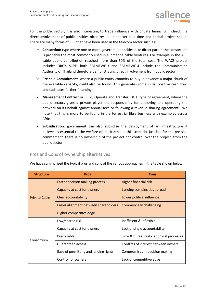For the public sector, it is also interesting to trade influence with private financing. Indeed, the direct involvement of public entities often results in shorter lead time and critical project speed. There are many forms of PPP that have been used in the telecom sector such as:

- **Consortium** type where one or more government entities take direct part in the consortium is probably the most commonly used in submarine cable ventures. For example in the ACE cable public contribution reached more than 50% of the total cost. The WACS project includes DRC's SCPT; both SEAMEWE-3 and SEAMEWE-4 include the Communication Authority of Thailand therefore demonstrating direct involvement from public sector.
- **Pre-sale Commitment**, where a public entity commits to buy in advance a major chunk of the available capacity, could also be found. This generates some initial positive cash flow, and facilitates further financing.
- **Management Contract** or Build, Operate and Transfer (BOT) type of agreement, where the public sectors gives a private player the responsibility for deploying and operating the network on its behalf against annual fees or following a revenue sharing agreement. We note that this is more to be found in the terrestrial fibre business with examples across Africa.
- **Subsidisation**: government can also subsidise the deployment of an infrastructure it believes is essential to the welfare of its citizens. In this scenario, just like for the pre-sale commitment, there is no ownership of the project nor control over the project, from the public sector.

|  |  |  | Pros and Cons of ownership alternatives |
|--|--|--|-----------------------------------------|
|--|--|--|-----------------------------------------|

We have summarised the typical pros and cons of the various approaches in the table shown below:

| <b>Structure</b>     | <b>Pros</b>                           | Cons                                   |  |  |
|----------------------|---------------------------------------|----------------------------------------|--|--|
| <b>Private Cable</b> | <b>Faster decision making process</b> | <b>Higher financial risk</b>           |  |  |
|                      | Capacity at cost for owners           | Landing complexities abroad            |  |  |
|                      | Clear accountability                  | Lower political influence              |  |  |
|                      | Easier alignment between shareholders | <b>Commercially challenging</b>        |  |  |
|                      | Higher competitive edge               |                                        |  |  |
|                      | Low/shared risk                       | Inefficient & inflexible               |  |  |
|                      | Capacity at cost for owners           | Lack of single accountability          |  |  |
| Consortium           | Predictable                           | Slow & bureaucratic approval processes |  |  |
|                      | Guaranteed access                     | Conflicts of interest between owners   |  |  |
|                      | Ease of permitting and landing rights | Compromises in decision making         |  |  |
|                      | Control for owners                    | Lack of competitive edge               |  |  |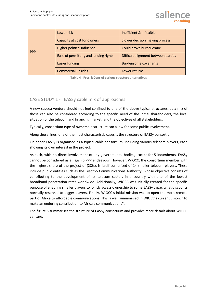|            | Lower risk                            | Inefficient & inflexible            |  |
|------------|---------------------------------------|-------------------------------------|--|
|            | Capacity at cost for owners           | Slower decision making process      |  |
| <b>PPP</b> | Higher political influence            | Could prove bureaucratic            |  |
|            | Ease of permitting and landing rights | Difficult alignment between parties |  |
|            | <b>Easier funding</b>                 | <b>Burdensome covenants</b>         |  |
|            | <b>Commercial upsides</b>             | Lower returns                       |  |

**Table 4 - Pros & Cons of various structure alternatives**

#### CASE STUDY 1 - EASSy cable mix of approaches

A new subsea venture should not feel confined to one of the above typical structures, as a mix of those can also be considered according to the specific need of the initial shareholders, the local situation of the telecom and financing market, and the objectives of all stakeholders.

Typically, consortium type of ownership structure can allow for some public involvement.

Along those lines, one of the most characteristic cases is the structure of EASSy consortium.

On paper EASSy is organised as a typical cable consortium, including various telecom players, each showing its own interest in the project.

As such, with no direct involvement of any governmental bodies, except for 5 incumbents, EASSy cannot be considered as a flagship PPP endeavour. However, WIOCC, the consortium member with the highest share of the project of (28%), is itself comprised of 14 smaller telecom players. These include public entities such as the Lesotho Communications Authority, whose objective consists of contributing to the development of its telecom sector, in a country with one of the lowest broadband penetration rates worldwide. Additionally, WIOCC was initially created for the specific purpose of enabling smaller players to jointly access ownership to some EASSy capacity, at discounts normally reserved to bigger players. Finally, WIOCC's initial mission was to open the most remote part of Africa to affordable communications. This is well summarised in WIOCC's current vision: "To make an enduring contribution to Africa's communications".

The figure 5 summarises the structure of EASSy consortium and provides more details about WIOCC venture.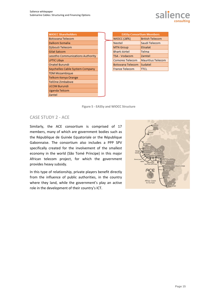

| <b>WIOCC Shareholders</b>        |
|----------------------------------|
| Botswana Telecom                 |
| Dalkom Somalia                   |
| Djibouti Telecom                 |
| Gilat Satcom                     |
| Lesotho Communications Authority |
| <b>LPTIC Libya</b>               |
| Onatel Burundi                   |
| Seychelles Cable System Company  |
| <b>TDM Mozambique</b>            |
| Telkom Kenya Orange              |
| TelOne Zimbabwe                  |
| <b>UCOM Burundi</b>              |
| Uganda Telcom                    |
| Zantel                           |

| <b>EASSy Consortium Members</b> |                          |  |  |  |  |  |
|---------------------------------|--------------------------|--|--|--|--|--|
| <b>WIOCC (28%)</b>              | <b>British Telecom</b>   |  |  |  |  |  |
| Neotel                          | Saudi Telecom            |  |  |  |  |  |
| <b>MTN Group</b>                | <b>Etisalat</b>          |  |  |  |  |  |
| <b>Bharti Airtel</b>            | Telma                    |  |  |  |  |  |
| <b>TSA - Vodacom</b>            | Zamtel                   |  |  |  |  |  |
| <b>Comores Telecom</b>          | <b>Mauritius Telecom</b> |  |  |  |  |  |
| <b>Botswana Telecom</b>         | Sudatel                  |  |  |  |  |  |
| <b>France Telecom</b>           | ITCL                     |  |  |  |  |  |

**Figure 5 - EASSy and WIOCC Structure**

#### CASE STUDY 2 - ACE

Similarly, the ACE consortium is comprised of 17 members, many of which are government bodies such as the République de Guinée Equatoriale or the République Gabonnaise. The consortium also includes a PPP SPV specifically created for the involvement of the smallest economy in the world (São Tomé Príncipe) in this major African telecom project, for which the government provides heavy subsidy.

In this type of relationship, private players benefit directly from the influence of public authorities, in the country where they land, while the government's play an active role in the development of their country's ICT.

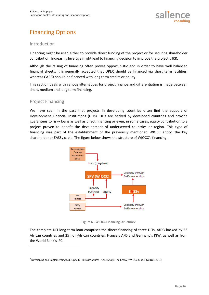

### Financing Options

#### Introduction

Financing might be used either to provide direct funding of the project or for securing shareholder contribution. Increasing leverage might lead to financing decision to improve the project's IRR.

Although the raising of financing often proves opportunistic and in order to have well balanced financial sheets, it is generally accepted that OPEX should be financed via short term facilities, whereas CAPEX should be financed with long term credits or equity.

This section deals with various alternatives for project finance and differentiation is made between short, medium and long term financing.

#### Project Financing

l

We have seen in the past that projects in developing countries often find the support of Development Financial Institutions (DFIs). DFIs are backed by developed countries and provide guarantees to risky loans as well as direct financing or even, in some cases, equity contribution to a project proven to benefit the development of underserved countries or region. This type of financing was part of the establishment of the previously mentioned WIOCC entity, the key shareholder or EASSy cable. The figure below shows the structure of WIOCC's financing.



**Figure 6 - WIOCC Financing Structure2**

The complete DFI long term loan comprises the direct financing of three DFIs, AfDB backed by 53 African countries and 25 non-African countries, France's AFD and Germany's KfW, as well as from the World Bank's IFC.

<sup>&</sup>lt;sup>2</sup> Developing and Implementing Sub-Optic ICT Infrastructures - Case Study: The EASSy / WIOCC Model (WIOCC 2013)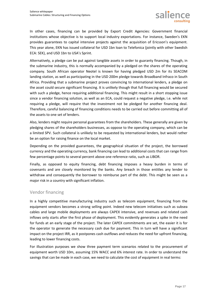

In other cases, financing can be provided by Export Credit Agencies: Government financial institutions whose objective is to support local industry exportations. For instance, Sweden's EKN provides guarantees to capital intensive projects against the acquisition of Ericsson's equipment. This year alone, EKN has issued collateral for USD 1bn loan to Telefonica (jointly with other Swedish ECA: SEK), and USD 1bn to USA's Sprint.

Alternatively, a pledge can be put against tangible assets in order to guaranty financing. Though, in the submarine industry, this is normally accompanied by a pledged on the shares of the operating company. South African operator Neotel is known for having pledged USD 2m for its SEACOM landing station, as well as participating in the USD 200m pledge towards Broadband Infraco in South Africa. Providing that a submarine project proves convincing to international lenders, a pledge on the asset could secure significant financing. It is unlikely though that full financing would be secured with such a pledge, hence requiring additional financing. This might result in a short stopping issue since a vendor financing solution, as well as an ECA, could request a negative pledge, i.e. while not requiring a pledge, will require that the investment not be pledged for another financing deal. Therefore, careful balancing of financing conditions needs to be carried out before committing all of the assets to one set of lenders.

Also, lenders might require personal guarantees from the shareholders. These generally are given by pledging shares of the shareholders businesses, as oppose to the operating company, which can be a limited SPV. Such collateral is unlikely to be requested by international lenders, but would rather be an option for raising finance on the local market.

Depending on the provided guarantees, the geographical situation of the project, the borrowed currency and the operating currency, bank financing can lead to additional costs that can range from few percentage points to several percent above one reference ratio, such as LIBOR.

Finally, as opposed to equity financing, debt financing imposes a heavy burden in terms of covenants and are closely monitored by the banks. Any breach in those entitles any lender to withdraw and consequently the borrower to reimburse part of the debt. This might be seen as a major risk in a country with significant inflation.

#### Vendor financing

In a highly competitive manufacturing industry such as telecom equipment, financing from the equipment vendors becomes a strong selling point. Indeed new telecom initiatives such as subsea cables and large mobile deployments are always CAPEX intensive, and revenues and related cash inflows only starts after the first phase of deployment. This evidently generates a spike in the need for funds at an early stage of the project. The later CAPEX commitments are set, the easier it is for the operator to generate the necessary cash due for payment. This in turn will have a significant impact on the project IRR, as it postpones cash outflows and reduces the need for upfront financing, leading to lower financing costs.

For illustration purposes we show three payment term scenarios related to the procurement of equipment worth USD 10m, assuming 15% WACC and 6% interest rate. In order to understand the savings that can be made in each case, we need to calculate the cost of equipment in real terms: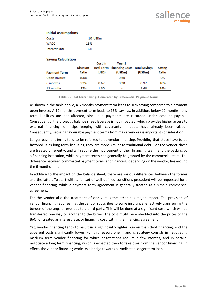

| <b>Initial Assumptions</b>                       |                          |                     |                                                                    |        |                        |  |  |  |
|--------------------------------------------------|--------------------------|---------------------|--------------------------------------------------------------------|--------|------------------------|--|--|--|
| Costs                                            |                          | 10 USD <sub>m</sub> |                                                                    |        |                        |  |  |  |
| <b>WACC</b>                                      | 15%                      |                     |                                                                    |        |                        |  |  |  |
| <b>Interest Rate</b>                             | 6%                       |                     |                                                                    |        |                        |  |  |  |
| <b>Saving Calculation</b><br><b>Payment Term</b> | <b>Discount</b><br>Ratio | Cost in<br>(USD)    | Year 1<br><b>Real Term Financing Costs Total Savings</b><br>(USDm) | (USDm) | <b>Saving</b><br>Ratio |  |  |  |
| Upon invoice                                     | 100%                     |                     | 0.60                                                               |        | 0%                     |  |  |  |
| 6 months                                         | 93%                      | 0.67                | 0.30                                                               | 0.97   | 10%                    |  |  |  |
| 12 months                                        | 87%                      | 1.30                | ٠                                                                  | 1.60   | 16%                    |  |  |  |

**Table 5 - Real Term Savings Generated by Preferential Payment Terms**

As shown in the table above, a 6 months payment term leads to 10% saving compared to a payment upon invoice. A 12 months payment term leads to 16% savings. In addition, below 12 months, long term liabilities are not affected, since due payments are recorded under account payable. Consequently, the project's balance sheet leverage is not impacted, which provides higher access to external financing, or helps keeping with covenants (if debts have already been raised). Consequently, securing favourable payment terms from major vendors is important consideration.

Longer payment terms tend to be referred to as vendor financing. Providing that these have to be factored in as long term liabilities, they are more similar to traditional debt. For the vendor these are treated differently, and will require the involvement of their financing team, and the backing by a financing institution, while payment terms can generally be granted by the commercial team. The difference between commercial payment terms and financing, depending on the vendor, lies around the 6 months limit.

In addition to the impact on the balance sheet, there are various differences between the former and the latter. To start with, a full set of well-defined conditions precedent will be requested for a vendor financing, while a payment term agreement is generally treated as a simple commercial agreement.

For the vendor also the treatment of one versus the other has major impact. The provision of vendor financing requires that the vendor subscribes to some insurance, effectively transferring the burden of the unpaid revenues to a third party. This will be done at a significant cost, which will be transferred one way or another to the buyer. The cost might be embedded into the prices of the BoQ, or treated as interest rate, or financing cost, within the financing agreement.

Yet, vendor financing tends to result in a significantly lighter burden than debt financing, and the apparent costs significantly lower. For this reason, one financing strategy consists in negotiating medium term vendor financing for which negotiations require a few months, and in parallel negotiate a long term financing, which is expected then to take over from the vendor financing. In effect, the vendor financing works as a bridge towards a syndicated longer term loan.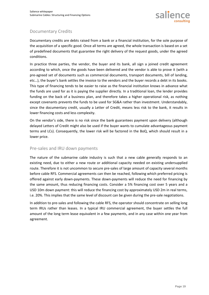

#### Documentary Credits

Documentary credits are debts raised from a bank or a financial institution, for the sole purpose of the acquisition of a specific good. Once all terms are agreed, the whole transaction is based on a set of predefined documents that guarantee the right delivery of the request goods, under the agreed conditions.

In practice three parties, the vendor, the buyer and its bank, all sign a joined credit agreement according to which, once the goods have been delivered and the vendor is able to prove it (with a pre-agreed set of documents such as commercial documents, transport documents, bill of landing, etc…), the buyer's bank settles the invoice to the vendors and the buyer records a debt in its books. This type of financing tends to be easier to raise as the financial institution knows in advance what the funds are used for as it is paying the supplier directly. In a traditional loan, the lender provides funding on the back of a business plan, and therefore takes a higher operational risk, as nothing except covenants prevents the funds to be used for SG&A rather than investment. Understandably, since the documentary credit, usually a Letter of Credit, means less risk to the bank, it results in lower financing costs and less complexity.

On the vendor's side, there is no risk since the bank guarantees payment upon delivery (although delayed Letters of Credit might also be used if the buyer wants to cumulate advantageous payment terms and LCs). Consequently, the lower risk will be factored in the BoQ, which should result in a lower price.

#### Pre-sales and IRU down payments

The nature of the submarine cable industry is such that a new cable generally responds to an existing need, due to either a new route or additional capacity needed on existing undersupplied route. Therefore it is not uncommon to secure pre-sales of large amount of capacity several months before cable RFS. Commercial agreements can then be reached, following which preferred pricing is offered against early down-payments. These down-payments will reduce the need for financing by the same amount, thus reducing financing costs. Consider a 5% financing cost over 5 years and a USD 10m down payment: this will reduce the financing cost by approximately USD 2m in real terms, i.e. 20%. This implies that the same level of discount can be given during the pre-sale negotiations.

In addition to pre-sales and following the cable RFS, the operator should concentrate on selling long term IRUs rather than leases. In a typical IRU commercial agreement, the buyer settles the full amount of the long term lease equivalent in a few payments, and in any case within one year from agreement.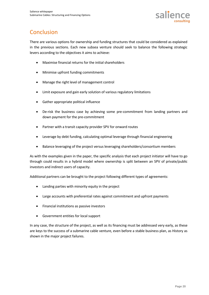

### **Conclusion**

There are various options for ownership and funding structures that could be considered as explained in the previous sections. Each new subsea venture should seek to balance the following strategic levers according to the objectives it aims to achieve:

- Maximise financial returns for the initial shareholders
- Minimise upfront funding commitments
- Manage the right level of management control
- Limit exposure and gain early solution of various regulatory limitations
- Gather appropriate political influence
- De-risk the business case by achieving some pre-commitment from landing partners and down payment for the pre-commitment
- Partner with a transit capacity provider SPV for onward routes
- Leverage by debt funding, calculating optimal leverage through financial engineering
- Balance leveraging of the project versus leveraging shareholders/consortium members

As with the examples given in the paper, the specific analysis that each project initiator will have to go through could results in a hybrid model where ownership is split between an SPV of private/public investors and indirect users of capacity.

Additional partners can be brought to the project following different types of agreements:

- Landing parties with minority equity in the project
- Large accounts with preferential rates against commitment and upfront payments
- Financial institutions as passive investors
- Government entities for local support

In any case, the structure of the project, as well as its financing must be addressed very early, as these are keys to the success of a submarine cable venture, even before a stable business plan, as History as shown in the major project failures.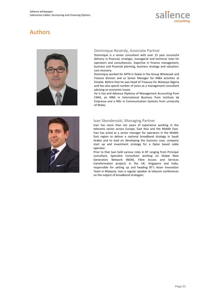

### Authors



#### Dominique Reverdy, Associate Partner

Dominique is a senior consultant with over 15 year successful delivery in financial, strategic, managerial and technical roles for operators and consultancies. Expertise in finance management, business and financial planning, business strategy and valuation, cost recovery.

Dominique worked for MTN in Dubai in the Group Wholesale and Finance division and as Senior Manager for M&A activities at Etisalat. Before that he was Head of Treasury for Watanya Algeria and has also spend number of years as a management consultant advising on economic issues.

He is has and Advance Diploma of Management Accounting from CiMA, an MBA in International Business from Instituto de Empressa and a MSc in Communication Systems from university of Wales.



#### Ivan Skenderoski, Managing Partner

Ivan has more than ten years of experience working in the telecoms sector across Europe, East Asia and the Middle East. Ivan has acted as a senior manager for operators in the Middle East region to deliver a national broadband strategy in Saudi Arabia and to lead on developing the business case, company start up and investment strategy for a Qatar based cable operator.

Prior to that Ivan held various roles in BT ranging from Principal consultant, Specialist Consultant working on Global Next Generation Network (NGN), Fibre Access and Services transformation projects in the UK, Singapore and India, responsible for setting up and heading BT's Asian Innovation Team in Malaysia. Ivan is regular speaker at telecom conferences on the subject of broadband strategies.